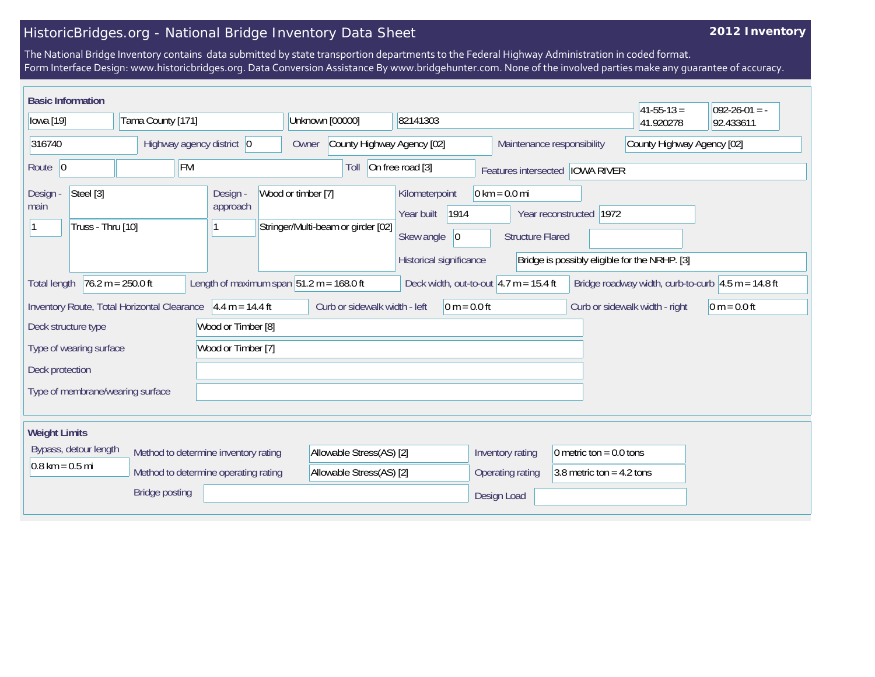## HistoricBridges.org - National Bridge Inventory Data Sheet

## **2012 Inventory**

The National Bridge Inventory contains data submitted by state transportion departments to the Federal Highway Administration in coded format. Form Interface Design: www.historicbridges.org. Data Conversion Assistance By www.bridgehunter.com. None of the involved parties make any guarantee of accuracy.

| <b>Basic Information</b>                           |                                                                                 |                                                              |                    |                                    |                                                                                              |                                                            |                                                                          | $ 41 - 55 - 13 $                                      | $092 - 26 - 01 = -$ |
|----------------------------------------------------|---------------------------------------------------------------------------------|--------------------------------------------------------------|--------------------|------------------------------------|----------------------------------------------------------------------------------------------|------------------------------------------------------------|--------------------------------------------------------------------------|-------------------------------------------------------|---------------------|
| lowa [19]                                          | Tama County [171]                                                               |                                                              | Unknown [00000]    |                                    | 82141303                                                                                     |                                                            |                                                                          | 41.920278                                             | 92.433611           |
| 316740                                             | Highway agency district 0                                                       |                                                              | Owner              | County Highway Agency [02]         |                                                                                              |                                                            | Maintenance responsibility                                               | County Highway Agency [02]                            |                     |
| Route 0                                            | <b>FM</b>                                                                       |                                                              |                    | Toll                               | On free road [3]                                                                             |                                                            | Features intersected <b>IOWA RIVER</b>                                   |                                                       |                     |
| Steel [3]<br>Design -<br>main<br>Truss - Thru [10] |                                                                                 | Design -<br>approach                                         | Wood or timber [7] | Stringer/Multi-beam or girder [02] | Kilometerpoint<br>1914<br>Year built<br>Skew angle<br>$ 0\rangle$<br>Historical significance | $0 \text{ km} = 0.0 \text{ mi}$<br><b>Structure Flared</b> | Year reconstructed 1972<br>Bridge is possibly eligible for the NRHP. [3] |                                                       |                     |
| <b>Total length</b>                                | $76.2 m = 250.0 ft$                                                             | Length of maximum span $ 51.2 \text{ m} = 168.0 \text{ ft} $ |                    |                                    |                                                                                              | Deck width, out-to-out $ 4.7 \text{ m} = 15.4 \text{ ft}$  |                                                                          | Bridge roadway width, curb-to-curb $ 4.5 m = 14.8 ft$ |                     |
|                                                    | Inventory Route, Total Horizontal Clearance $ 4.4 \text{ m} = 14.4 \text{ ft} $ |                                                              |                    | Curb or sidewalk width - left      | $0 m = 0.0 ft$                                                                               |                                                            |                                                                          | Curb or sidewalk width - right                        | 0 m = $0.0$ ft      |
| Deck structure type                                |                                                                                 | Wood or Timber [8]                                           |                    |                                    |                                                                                              |                                                            |                                                                          |                                                       |                     |
| Type of wearing surface                            |                                                                                 | Wood or Timber [7]                                           |                    |                                    |                                                                                              |                                                            |                                                                          |                                                       |                     |
| Deck protection                                    |                                                                                 |                                                              |                    |                                    |                                                                                              |                                                            |                                                                          |                                                       |                     |
| Type of membrane/wearing surface                   |                                                                                 |                                                              |                    |                                    |                                                                                              |                                                            |                                                                          |                                                       |                     |
| <b>Weight Limits</b>                               |                                                                                 |                                                              |                    |                                    |                                                                                              |                                                            |                                                                          |                                                       |                     |
| Bypass, detour length                              |                                                                                 | Method to determine inventory rating                         |                    | Allowable Stress(AS) [2]           |                                                                                              | Inventory rating                                           | 0 metric ton = $0.0$ tons                                                |                                                       |                     |
| $0.8 \text{ km} = 0.5 \text{ mi}$                  |                                                                                 | Method to determine operating rating                         |                    | Allowable Stress(AS) [2]           |                                                                                              | Operating rating                                           | 3.8 metric ton = $4.2$ tons                                              |                                                       |                     |
|                                                    | <b>Bridge posting</b>                                                           |                                                              |                    |                                    |                                                                                              | Design Load                                                |                                                                          |                                                       |                     |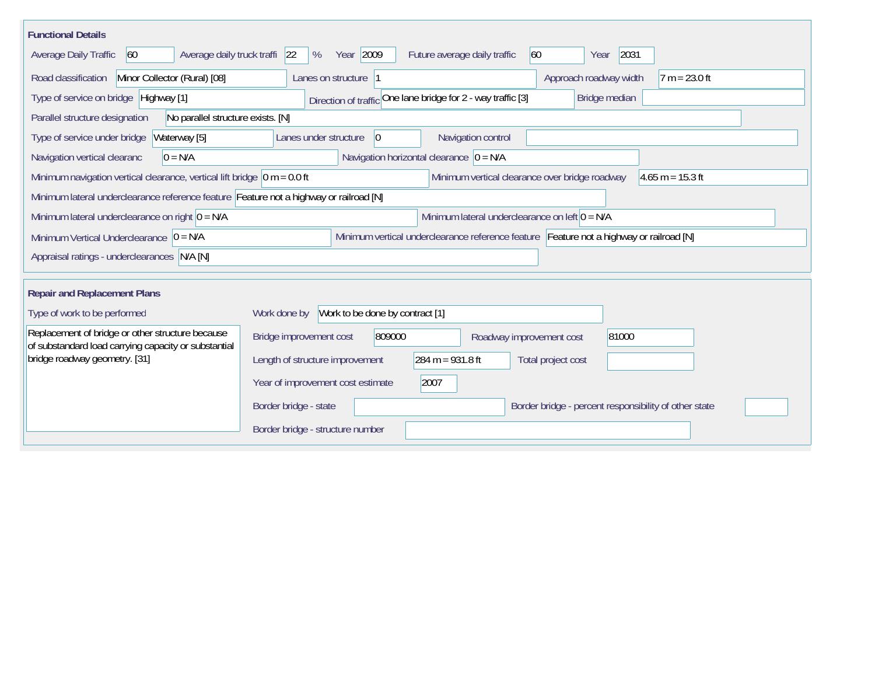| <b>Functional Details</b>                                                                                                             |                                                                                |  |  |  |  |  |  |  |  |
|---------------------------------------------------------------------------------------------------------------------------------------|--------------------------------------------------------------------------------|--|--|--|--|--|--|--|--|
| Average daily truck traffi<br><b>Average Daily Traffic</b><br>60                                                                      | Year 2009<br>60<br>2031<br> 22 <br>%<br>Future average daily traffic<br>Year   |  |  |  |  |  |  |  |  |
| Road classification<br>Minor Collector (Rural) [08]                                                                                   | $7 m = 23.0 ft$<br>Lanes on structure 1<br>Approach roadway width              |  |  |  |  |  |  |  |  |
| Type of service on bridge Highway [1]                                                                                                 | Direction of traffic One lane bridge for 2 - way traffic [3]<br>Bridge median  |  |  |  |  |  |  |  |  |
| Parallel structure designation<br>No parallel structure exists. [N]                                                                   |                                                                                |  |  |  |  |  |  |  |  |
| Type of service under bridge<br>Waterway [5]                                                                                          | Navigation control<br>Lanes under structure<br> 0                              |  |  |  |  |  |  |  |  |
| Navigation horizontal clearance $ 0 = N/A$<br>$0 = N/A$<br>Navigation vertical clearanc                                               |                                                                                |  |  |  |  |  |  |  |  |
| Minimum navigation vertical clearance, vertical lift bridge $\vert$ 0 m = 0.0 ft                                                      | Minimum vertical clearance over bridge roadway<br>$4.65 m = 15.3 ft$           |  |  |  |  |  |  |  |  |
| Minimum lateral underclearance reference feature Feature not a highway or railroad [N]                                                |                                                                                |  |  |  |  |  |  |  |  |
| Minimum lateral underclearance on right $0 = N/A$                                                                                     | Minimum lateral underclearance on left 0 = N/A                                 |  |  |  |  |  |  |  |  |
| Minimum vertical underclearance reference feature Feature not a highway or railroad [N]<br>Minimum Vertical Underclearance $ 0 = N/A$ |                                                                                |  |  |  |  |  |  |  |  |
| Appraisal ratings - underclearances N/A [N]                                                                                           |                                                                                |  |  |  |  |  |  |  |  |
|                                                                                                                                       |                                                                                |  |  |  |  |  |  |  |  |
| <b>Repair and Replacement Plans</b>                                                                                                   |                                                                                |  |  |  |  |  |  |  |  |
| Type of work to be performed                                                                                                          | Work to be done by contract [1]<br>Work done by                                |  |  |  |  |  |  |  |  |
| Replacement of bridge or other structure because<br>of substandard load carrying capacity or substantial                              | Bridge improvement cost<br>809000<br>81000<br>Roadway improvement cost         |  |  |  |  |  |  |  |  |
| bridge roadway geometry. [31]                                                                                                         | 284 m = $931.8$ ft<br>Length of structure improvement<br>Total project cost    |  |  |  |  |  |  |  |  |
|                                                                                                                                       | Year of improvement cost estimate<br>2007                                      |  |  |  |  |  |  |  |  |
|                                                                                                                                       | Border bridge - state<br>Border bridge - percent responsibility of other state |  |  |  |  |  |  |  |  |
|                                                                                                                                       | Border bridge - structure number                                               |  |  |  |  |  |  |  |  |